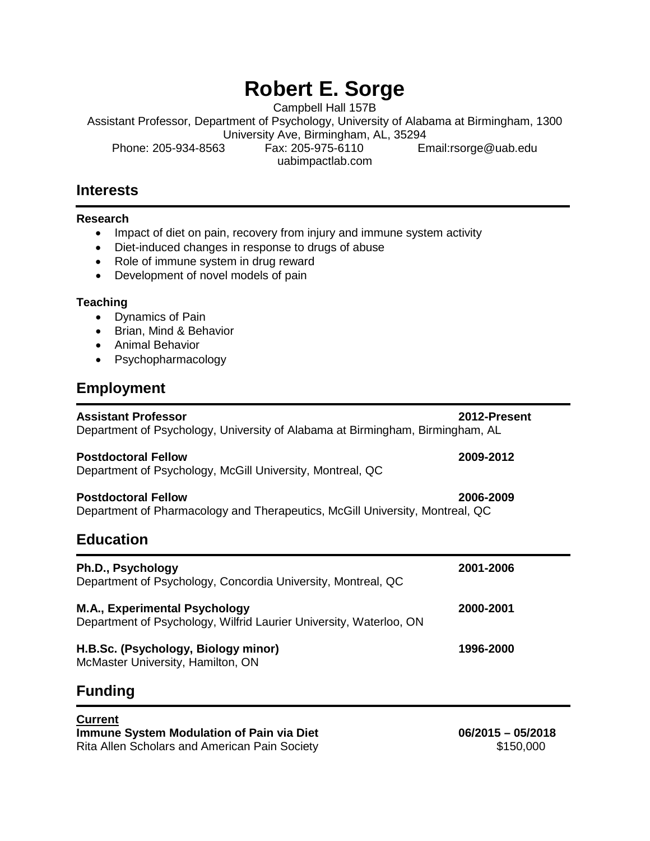# **Robert E. Sorge**

Campbell Hall 157B

Assistant Professor, Department of Psychology, University of Alabama at Birmingham, 1300 University Ave, Birmingham, AL, 35294<br>Eremingham, 205-934-8563 Fax: 205-975-6110 Email: rsorge@uab.edu

uabimpactlab.com

### **Interests**

#### **Research**

- Impact of diet on pain, recovery from injury and immune system activity
- Diet-induced changes in response to drugs of abuse
- Role of immune system in drug reward
- Development of novel models of pain

#### **Teaching**

- Dynamics of Pain
- Brian, Mind & Behavior
- Animal Behavior
- Psychopharmacology

# **Employment**

| <b>Assistant Professor</b><br>Department of Psychology, University of Alabama at Birmingham, Birmingham, AL | 2012-Present |
|-------------------------------------------------------------------------------------------------------------|--------------|
| <b>Postdoctoral Fellow</b><br>Department of Psychology, McGill University, Montreal, QC                     | 2009-2012    |
| <b>Postdoctoral Fellow</b><br>Department of Pharmacology and Therapeutics, McGill University, Montreal, QC  | 2006-2009    |
| <b>Education</b>                                                                                            |              |
| Ph.D., Psychology<br>Department of Psychology, Concordia University, Montreal, QC                           | 2001-2006    |
| M.A., Experimental Psychology<br>Department of Psychology, Wilfrid Laurier University, Waterloo, ON         | 2000-2001    |
| H.B.Sc. (Psychology, Biology minor)<br>McMaster University, Hamilton, ON                                    | 1996-2000    |
| <b>Funding</b>                                                                                              |              |

#### **Current Immune System Modulation of Pain via Diet 1988 12015 – 06/2015 – 05/2018**<br>Rita Allen Scholars and American Pain Society **1988 1201 1201 13160.000** Rita Allen Scholars and American Pain Society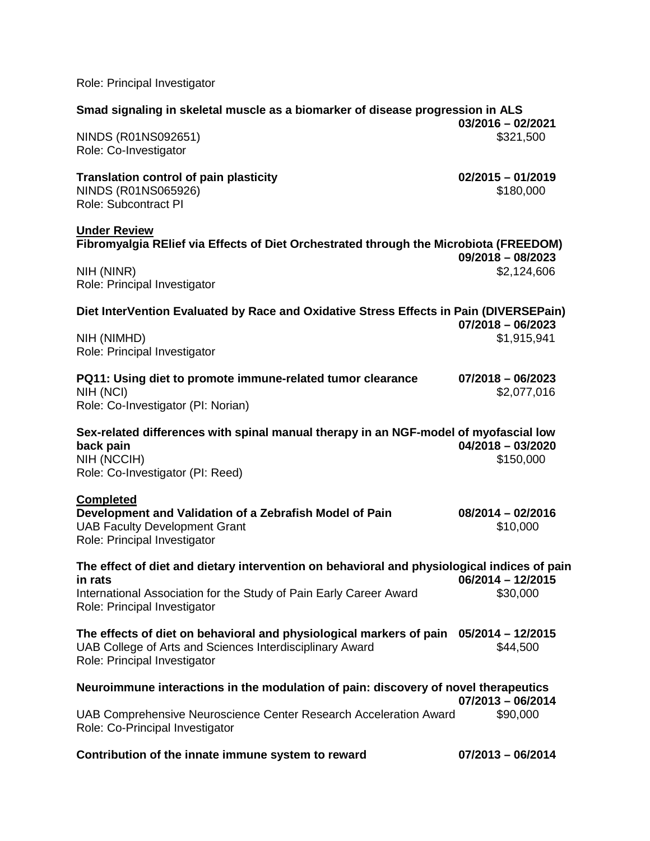| Role: Principal Investigator                                                                                                                                                                                 |                                    |
|--------------------------------------------------------------------------------------------------------------------------------------------------------------------------------------------------------------|------------------------------------|
| Smad signaling in skeletal muscle as a biomarker of disease progression in ALS                                                                                                                               |                                    |
| NINDS (R01NS092651)<br>Role: Co-Investigator                                                                                                                                                                 | $03/2016 - 02/2021$<br>\$321,500   |
| <b>Translation control of pain plasticity</b><br>NINDS (R01NS065926)<br><b>Role: Subcontract PI</b>                                                                                                          | $02/2015 - 01/2019$<br>\$180,000   |
| <b>Under Review</b><br>Fibromyalgia RElief via Effects of Diet Orchestrated through the Microbiota (FREEDOM)                                                                                                 | $09/2018 - 08/2023$                |
| NIH (NINR)<br>Role: Principal Investigator                                                                                                                                                                   | \$2,124,606                        |
| Diet InterVention Evaluated by Race and Oxidative Stress Effects in Pain (DIVERSEPain)                                                                                                                       |                                    |
| NIH (NIMHD)<br>Role: Principal Investigator                                                                                                                                                                  | $07/2018 - 06/2023$<br>\$1,915,941 |
| PQ11: Using diet to promote immune-related tumor clearance<br>NIH (NCI)<br>Role: Co-Investigator (PI: Norian)                                                                                                | $07/2018 - 06/2023$<br>\$2,077,016 |
| Sex-related differences with spinal manual therapy in an NGF-model of myofascial low<br>back pain<br>NIH (NCCIH)<br>Role: Co-Investigator (PI: Reed)                                                         | $04/2018 - 03/2020$<br>\$150,000   |
| <b>Completed</b><br>Development and Validation of a Zebrafish Model of Pain<br><b>UAB Faculty Development Grant</b><br>Role: Principal Investigator                                                          | $08/2014 - 02/2016$<br>\$10,000    |
| The effect of diet and dietary intervention on behavioral and physiological indices of pain<br>in rats<br>International Association for the Study of Pain Early Career Award<br>Role: Principal Investigator | $06/2014 - 12/2015$<br>\$30,000    |
| The effects of diet on behavioral and physiological markers of pain 05/2014 - 12/2015<br>UAB College of Arts and Sciences Interdisciplinary Award<br>Role: Principal Investigator                            | \$44,500                           |
| Neuroimmune interactions in the modulation of pain: discovery of novel therapeutics                                                                                                                          |                                    |
| UAB Comprehensive Neuroscience Center Research Acceleration Award<br>Role: Co-Principal Investigator                                                                                                         | $07/2013 - 06/2014$<br>\$90,000    |
| Contribution of the innate immune system to reward                                                                                                                                                           | $07/2013 - 06/2014$                |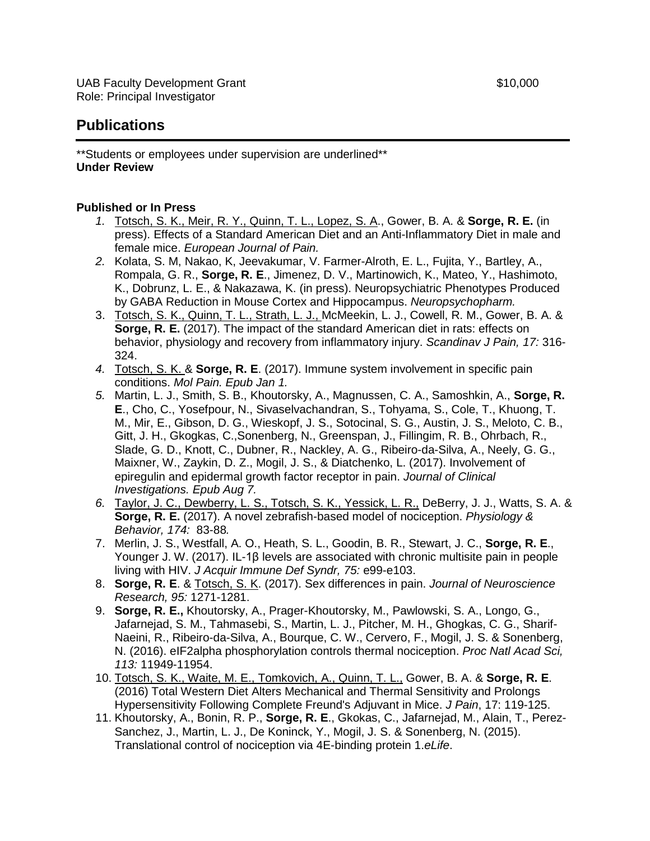## **Publications**

\*\*Students or employees under supervision are underlined\*\* **Under Review**

#### **Published or In Press**

- *1.* Totsch, S. K., Meir, R. Y., Quinn, T. L., Lopez, S. A., Gower, B. A. & **Sorge, R. E.** (in press). Effects of a Standard American Diet and an Anti-Inflammatory Diet in male and female mice. *European Journal of Pain.*
- *2.* Kolata, S. M, Nakao, K, Jeevakumar, V. Farmer-Alroth, E. L., Fujita, Y., Bartley, A., Rompala, G. R., **Sorge, R. E**., Jimenez, D. V., Martinowich, K., Mateo, Y., Hashimoto, K., Dobrunz, L. E., & Nakazawa, K. (in press). Neuropsychiatric Phenotypes Produced by GABA Reduction in Mouse Cortex and Hippocampus. *Neuropsychopharm.*
- 3. Totsch, S. K., Quinn, T. L., Strath, L. J., McMeekin, L. J., Cowell, R. M., Gower, B. A. & **Sorge, R. E.** (2017). The impact of the standard American diet in rats: effects on behavior, physiology and recovery from inflammatory injury. *Scandinav J Pain, 17:* 316- 324.
- *4.* Totsch, S. K. & **Sorge, R. E**. (2017). Immune system involvement in specific pain conditions. *Mol Pain. Epub Jan 1.*
- *5.* Martin, L. J., Smith, S. B., Khoutorsky, A., Magnussen, C. A., Samoshkin, A., **Sorge, R. E**., Cho, C., Yosefpour, N., Sivaselvachandran, S., Tohyama, S., Cole, T., Khuong, T. M., Mir, E., Gibson, D. G., Wieskopf, J. S., Sotocinal, S. G., Austin, J. S., Meloto, C. B., Gitt, J. H., Gkogkas, C.,Sonenberg, N., Greenspan, J., Fillingim, R. B., Ohrbach, R., Slade, G. D., Knott, C., Dubner, R., Nackley, A. G., Ribeiro-da-Silva, A., Neely, G. G., Maixner, W., Zaykin, D. Z., Mogil, J. S., & Diatchenko, L. (2017). Involvement of epiregulin and epidermal growth factor receptor in pain. *Journal of Clinical Investigations. Epub Aug 7.*
- *6.* Taylor, J. C., Dewberry, L. S., Totsch, S. K., Yessick, L. R., DeBerry, J. J., Watts, S. A. & **Sorge, R. E.** (2017). A novel zebrafish-based model of nociception. *Physiology & Behavior, 174:* 83-88*.*
- 7. Merlin, J. S., Westfall, A. O., Heath, S. L., Goodin, B. R., Stewart, J. C., **Sorge, R. E**., Younger J. W. (2017). IL-1β levels are associated with chronic multisite pain in people living with HIV. *J Acquir Immune Def Syndr, 75:* e99-e103.
- 8. **Sorge, R. E**. & Totsch, S. K. (2017). Sex differences in pain. *Journal of Neuroscience Research, 95:* 1271-1281.
- 9. **Sorge, R. E.,** Khoutorsky, A., Prager-Khoutorsky, M., Pawlowski, S. A., Longo, G., Jafarnejad, S. M., Tahmasebi, S., Martin, L. J., Pitcher, M. H., Ghogkas, C. G., Sharif-Naeini, R., Ribeiro-da-Silva, A., Bourque, C. W., Cervero, F., Mogil, J. S. & Sonenberg, N. (2016). eIF2alpha phosphorylation controls thermal nociception. *Proc Natl Acad Sci, 113:* 11949-11954.
- 10. Totsch, S. K., Waite, M. E., Tomkovich, A., Quinn, T. L., Gower, B. A. & **Sorge, R. E**. (2016) Total Western Diet Alters Mechanical and Thermal Sensitivity and Prolongs Hypersensitivity Following Complete Freund's Adjuvant in Mice. *J Pain*, 17: 119-125.
- 11. Khoutorsky, A., Bonin, R. P., **Sorge, R. E**., Gkokas, C., Jafarnejad, M., Alain, T., Perez-Sanchez, J., Martin, L. J., De Koninck, Y., Mogil, J. S. & Sonenberg, N. (2015). Translational control of nociception via 4E-binding protein 1.*eLife*.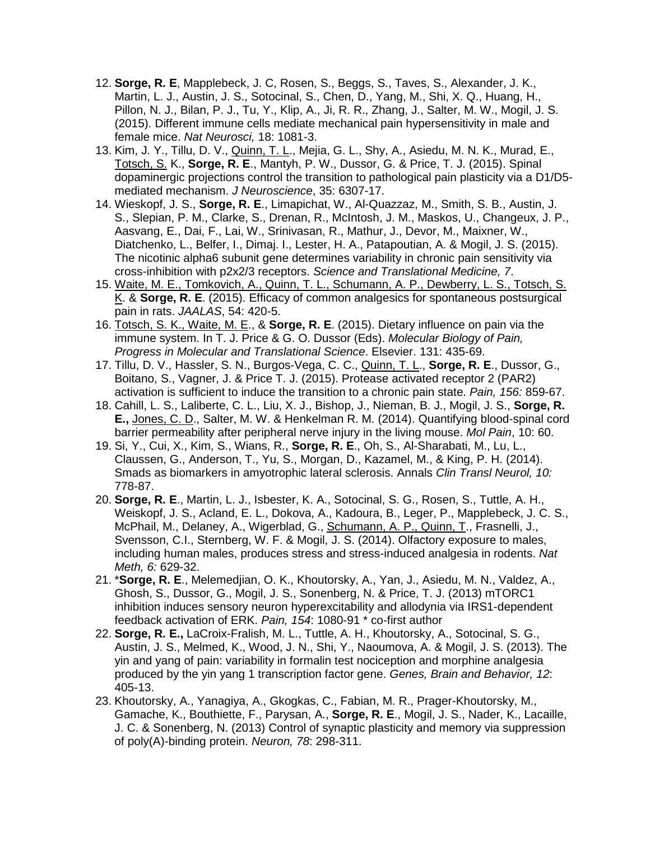- 12. **Sorge, R. E**, Mapplebeck, J. C, Rosen, S., Beggs, S., Taves, S., Alexander, J. K., Martin, L. J., Austin, J. S., Sotocinal, S., Chen, D., Yang, M., Shi, X. Q., Huang, H., Pillon, N. J., Bilan, P. J., Tu, Y., Klip, A., Ji, R. R., Zhang, J., Salter, M. W., Mogil, J. S. (2015). Different immune cells mediate mechanical pain hypersensitivity in male and female mice. *Nat Neurosci,* 18: 1081-3.
- 13. Kim, J. Y., Tillu, D. V., Quinn, T. L., Mejia, G. L., Shy, A., Asiedu, M. N. K., Murad, E., Totsch, S. K., **Sorge, R. E**., Mantyh, P. W., Dussor, G. & Price, T. J. (2015). Spinal dopaminergic projections control the transition to pathological pain plasticity via a D1/D5 mediated mechanism. *J Neuroscience*, 35: 6307-17.
- 14. Wieskopf, J. S., **Sorge, R. E**., Limapichat, W., Al-Quazzaz, M., Smith, S. B., Austin, J. S., Slepian, P. M., Clarke, S., Drenan, R., McIntosh, J. M., Maskos, U., Changeux, J. P., Aasvang, E., Dai, F., Lai, W., Srinivasan, R., Mathur, J., Devor, M., Maixner, W., Diatchenko, L., Belfer, I., Dimaj. I., Lester, H. A., Patapoutian, A. & Mogil, J. S. (2015). The nicotinic alpha6 subunit gene determines variability in chronic pain sensitivity via cross-inhibition with p2x2/3 receptors. *Science and Translational Medicine, 7*.
- 15. Waite, M. E., Tomkovich, A., Quinn, T. L., Schumann, A. P., Dewberry, L. S., Totsch, S. K. & **Sorge, R. E**. (2015). Efficacy of common analgesics for spontaneous postsurgical pain in rats. *JAALAS*, 54: 420-5.
- 16. Totsch, S. K., Waite, M. E., & **Sorge, R. E**. (2015). Dietary influence on pain via the immune system. In T. J. Price & G. O. Dussor (Eds). *Molecular Biology of Pain, Progress in Molecular and Translational Science*. Elsevier. 131: 435-69.
- 17. Tillu, D. V., Hassler, S. N., Burgos-Vega, C. C., Quinn, T. L., **Sorge, R. E**., Dussor, G., Boitano, S., Vagner, J. & Price T. J. (2015). Protease activated receptor 2 (PAR2) activation is sufficient to induce the transition to a chronic pain state. *Pain, 156:* 859-67.
- 18. Cahill, L. S., Laliberte, C. L., Liu, X. J., Bishop, J., Nieman, B. J., Mogil, J. S., **Sorge, R. E.,** Jones, C. D., Salter, M. W. & Henkelman R. M. (2014). Quantifying blood-spinal cord barrier permeability after peripheral nerve injury in the living mouse. *Mol Pain*, 10: 60.
- 19. Si, Y., Cui, X., Kim, S., Wians, R., **Sorge, R. E**., Oh, S., Al-Sharabati, M., Lu, L., Claussen, G., Anderson, T., Yu, S., Morgan, D., Kazamel, M., & King, P. H. (2014). Smads as biomarkers in amyotrophic lateral sclerosis. Annals *Clin Transl Neurol, 10:* 778-87.
- 20. **Sorge, R. E**., Martin, L. J., Isbester, K. A., Sotocinal, S. G., Rosen, S., Tuttle, A. H., Weiskopf, J. S., Acland, E. L., Dokova, A., Kadoura, B., Leger, P., Mapplebeck, J. C. S., McPhail, M., Delaney, A., Wigerblad, G., Schumann, A. P., Quinn, T., Frasnelli, J., Svensson, C.I., Sternberg, W. F. & Mogil, J. S. (2014). Olfactory exposure to males, including human males, produces stress and stress-induced analgesia in rodents. *Nat Meth, 6:* 629-32.
- 21. \***Sorge, R. E**., Melemedjian, O. K., Khoutorsky, A., Yan, J., Asiedu, M. N., Valdez, A., Ghosh, S., Dussor, G., Mogil, J. S., Sonenberg, N. & Price, T. J. (2013) mTORC1 inhibition induces sensory neuron hyperexcitability and allodynia via IRS1-dependent feedback activation of ERK. *Pain, 154*: 1080-91 \* co-first author
- 22. **Sorge, R. E.,** LaCroix-Fralish, M. L., Tuttle, A. H., Khoutorsky, A., Sotocinal, S. G., Austin, J. S., Melmed, K., Wood, J. N., Shi, Y., Naoumova, A. & Mogil, J. S. (2013). The yin and yang of pain: variability in formalin test nociception and morphine analgesia produced by the yin yang 1 transcription factor gene. *Genes, Brain and Behavior, 12*: 405-13.
- 23. Khoutorsky, A., Yanagiya, A., Gkogkas, C., Fabian, M. R., Prager-Khoutorsky, M., Gamache, K., Bouthiette, F., Parysan, A., **Sorge, R. E**., Mogil, J. S., Nader, K., Lacaille, J. C. & Sonenberg, N. (2013) Control of synaptic plasticity and memory via suppression of poly(A)-binding protein. *Neuron, 78*: 298-311.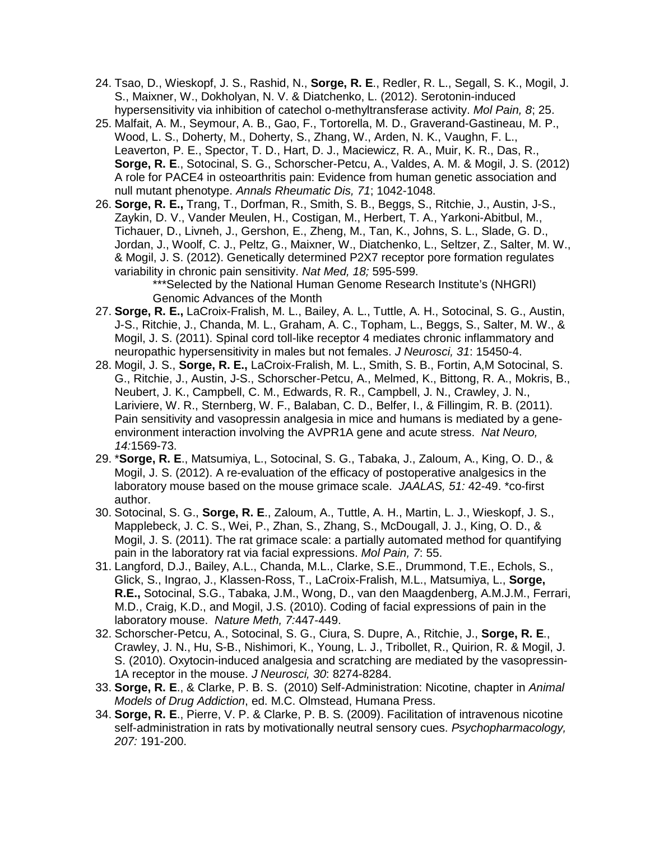- 24. Tsao, D., Wieskopf, J. S., Rashid, N., **Sorge, R. E**., Redler, R. L., Segall, S. K., Mogil, J. S., Maixner, W., Dokholyan, N. V. & Diatchenko, L. (2012). Serotonin-induced hypersensitivity via inhibition of catechol o-methyltransferase activity. *Mol Pain, 8*; 25.
- 25. Malfait, A. M., Seymour, A. B., Gao, F., Tortorella, M. D., Graverand-Gastineau, M. P., Wood, L. S., Doherty, M., Doherty, S., Zhang, W., Arden, N. K., Vaughn, F. L., Leaverton, P. E., Spector, T. D., Hart, D. J., Maciewicz, R. A., Muir, K. R., Das, R., **Sorge, R. E**., Sotocinal, S. G., Schorscher-Petcu, A., Valdes, A. M. & Mogil, J. S. (2012) A role for PACE4 in osteoarthritis pain: Evidence from human genetic association and null mutant phenotype. *Annals Rheumatic Dis, 71*; 1042-1048.
- 26. **Sorge, R. E.,** Trang, T., Dorfman, R., Smith, S. B., Beggs, S., Ritchie, J., Austin, J-S., Zaykin, D. V., Vander Meulen, H., Costigan, M., Herbert, T. A., Yarkoni-Abitbul, M., Tichauer, D., Livneh, J., Gershon, E., Zheng, M., Tan, K., Johns, S. L., Slade, G. D., Jordan, J., Woolf, C. J., Peltz, G., Maixner, W., Diatchenko, L., Seltzer, Z., Salter, M. W., & Mogil, J. S. (2012). Genetically determined P2X7 receptor pore formation regulates variability in chronic pain sensitivity. *Nat Med, 18;* 595-599.

\*\*\*Selected by the National Human Genome Research Institute's (NHGRI) Genomic Advances of the Month

- 27. **Sorge, R. E.,** LaCroix-Fralish, M. L., Bailey, A. L., Tuttle, A. H., Sotocinal, S. G., Austin, J-S., Ritchie, J., Chanda, M. L., Graham, A. C., Topham, L., Beggs, S., Salter, M. W., & Mogil, J. S. (2011). Spinal cord toll-like receptor 4 mediates chronic inflammatory and neuropathic hypersensitivity in males but not females. *J Neurosci, 31*: 15450-4.
- 28. Mogil, J. S., **Sorge, R. E.,** LaCroix-Fralish, M. L., Smith, S. B., Fortin, A,M Sotocinal, S. G., Ritchie, J., Austin, J-S., Schorscher-Petcu, A., Melmed, K., Bittong, R. A., Mokris, B., Neubert, J. K., Campbell, C. M., Edwards, R. R., Campbell, J. N., Crawley, J. N., Lariviere, W. R., Sternberg, W. F., Balaban, C. D., Belfer, I., & Fillingim, R. B. (2011). Pain sensitivity and vasopressin analgesia in mice and humans is mediated by a geneenvironment interaction involving the AVPR1A gene and acute stress. *Nat Neuro, 14:*1569-73.
- 29. \***Sorge, R. E**., Matsumiya, L., Sotocinal, S. G., Tabaka, J., Zaloum, A., King, O. D., & Mogil, J. S. (2012). A re-evaluation of the efficacy of postoperative analgesics in the laboratory mouse based on the mouse grimace scale. *JAALAS, 51:* 42-49. \*co-first author.
- 30. Sotocinal, S. G., **Sorge, R. E**., Zaloum, A., Tuttle, A. H., Martin, L. J., Wieskopf, J. S., Mapplebeck, J. C. S., Wei, P., Zhan, S., Zhang, S., McDougall, J. J., King, O. D., & Mogil, J. S. (2011). The rat grimace scale: a partially automated method for quantifying pain in the laboratory rat via facial expressions. *Mol Pain, 7*: 55.
- 31. Langford, D.J., Bailey, A.L., Chanda, M.L., Clarke, S.E., Drummond, T.E., Echols, S., Glick, S., Ingrao, J., Klassen-Ross, T., LaCroix-Fralish, M.L., Matsumiya, L., **Sorge, R.E.,** Sotocinal, S.G., Tabaka, J.M., Wong, D., van den Maagdenberg, A.M.J.M., Ferrari, M.D., Craig, K.D., and Mogil, J.S. (2010). Coding of facial expressions of pain in the laboratory mouse. *Nature Meth, 7:*447-449.
- 32. Schorscher-Petcu, A., Sotocinal, S. G., Ciura, S. Dupre, A., Ritchie, J., **Sorge, R. E**., Crawley, J. N., Hu, S-B., Nishimori, K., Young, L. J., Tribollet, R., Quirion, R. & Mogil, J. S. (2010). Oxytocin-induced analgesia and scratching are mediated by the vasopressin-1A receptor in the mouse. *J Neurosci, 30*: 8274-8284.
- 33. **Sorge, R. E**., & Clarke, P. B. S. (2010) Self-Administration: Nicotine, chapter in *Animal Models of Drug Addiction*, ed. M.C. Olmstead, Humana Press.
- 34. **Sorge, R. E**., Pierre, V. P. & Clarke, P. B. S. (2009). Facilitation of intravenous nicotine self-administration in rats by motivationally neutral sensory cues. *Psychopharmacology, 207:* 191-200.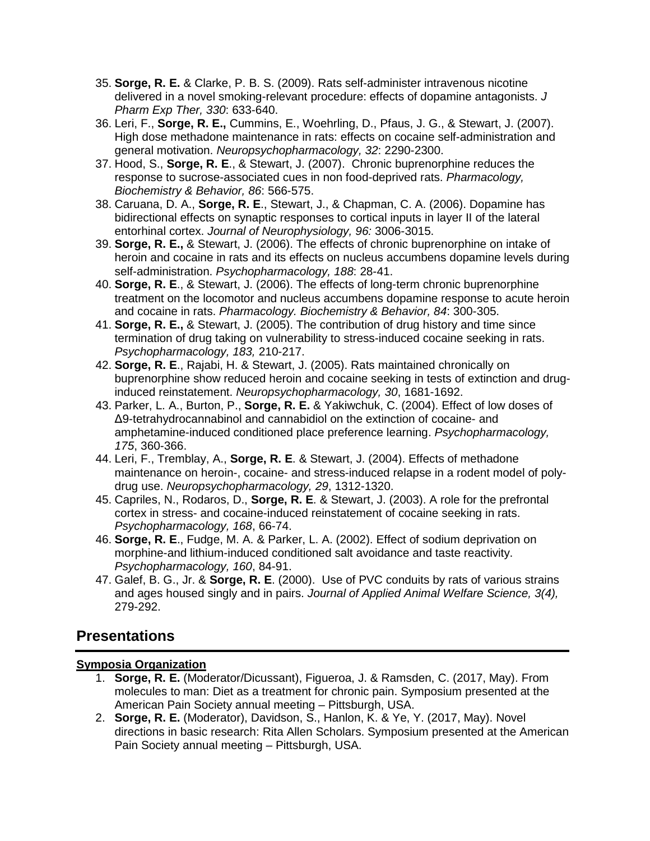- 35. **Sorge, R. E.** & Clarke, P. B. S. (2009). Rats self-administer intravenous nicotine delivered in a novel smoking-relevant procedure: effects of dopamine antagonists. *J Pharm Exp Ther, 330*: 633-640.
- 36. Leri, F., **Sorge, R. E.,** Cummins, E., Woehrling, D., Pfaus, J. G., & Stewart, J. (2007). High dose methadone maintenance in rats: effects on cocaine self-administration and general motivation. *Neuropsychopharmacology, 32*: 2290-2300.
- 37. Hood, S., **Sorge, R. E**., & Stewart, J. (2007). Chronic buprenorphine reduces the response to sucrose-associated cues in non food-deprived rats. *Pharmacology, Biochemistry & Behavior, 86*: 566-575.
- 38. Caruana, D. A., **Sorge, R. E**., Stewart, J., & Chapman, C. A. (2006). Dopamine has bidirectional effects on synaptic responses to cortical inputs in layer II of the lateral entorhinal cortex. *Journal of Neurophysiology, 96:* 3006-3015.
- 39. **Sorge, R. E.,** & Stewart, J. (2006). The effects of chronic buprenorphine on intake of heroin and cocaine in rats and its effects on nucleus accumbens dopamine levels during self-administration. *Psychopharmacology, 188*: 28-41.
- 40. **Sorge, R. E**., & Stewart, J. (2006). The effects of long-term chronic buprenorphine treatment on the locomotor and nucleus accumbens dopamine response to acute heroin and cocaine in rats. *Pharmacology. Biochemistry & Behavior, 84*: 300-305.
- 41. **Sorge, R. E.,** & Stewart, J. (2005). The contribution of drug history and time since termination of drug taking on vulnerability to stress-induced cocaine seeking in rats. *Psychopharmacology, 183,* 210-217.
- 42. **Sorge, R. E**., Rajabi, H. & Stewart, J. (2005). Rats maintained chronically on buprenorphine show reduced heroin and cocaine seeking in tests of extinction and druginduced reinstatement. *Neuropsychopharmacology, 30*, 1681-1692.
- 43. Parker, L. A., Burton, P., **Sorge, R. E.** & Yakiwchuk, C. (2004). Effect of low doses of Δ9-tetrahydrocannabinol and cannabidiol on the extinction of cocaine- and amphetamine-induced conditioned place preference learning. *Psychopharmacology, 175*, 360-366.
- 44. Leri, F., Tremblay, A., **Sorge, R. E**. & Stewart, J. (2004). Effects of methadone maintenance on heroin-, cocaine- and stress-induced relapse in a rodent model of polydrug use. *Neuropsychopharmacology, 29*, 1312-1320.
- 45. Capriles, N., Rodaros, D., **Sorge, R. E**. & Stewart, J. (2003). A role for the prefrontal cortex in stress- and cocaine-induced reinstatement of cocaine seeking in rats. *Psychopharmacology, 168*, 66-74.
- 46. **Sorge, R. E**., Fudge, M. A. & Parker, L. A. (2002). Effect of sodium deprivation on morphine-and lithium-induced conditioned salt avoidance and taste reactivity. *Psychopharmacology, 160*, 84-91.
- 47. Galef, B. G., Jr. & **Sorge, R. E**. (2000). Use of PVC conduits by rats of various strains and ages housed singly and in pairs. *Journal of Applied Animal Welfare Science, 3(4),* 279-292.

# **Presentations**

### **Symposia Organization**

- 1. **Sorge, R. E.** (Moderator/Dicussant), Figueroa, J. & Ramsden, C. (2017, May). From molecules to man: Diet as a treatment for chronic pain. Symposium presented at the American Pain Society annual meeting – Pittsburgh, USA.
- 2. **Sorge, R. E.** (Moderator), Davidson, S., Hanlon, K. & Ye, Y. (2017, May). Novel directions in basic research: Rita Allen Scholars. Symposium presented at the American Pain Society annual meeting – Pittsburgh, USA.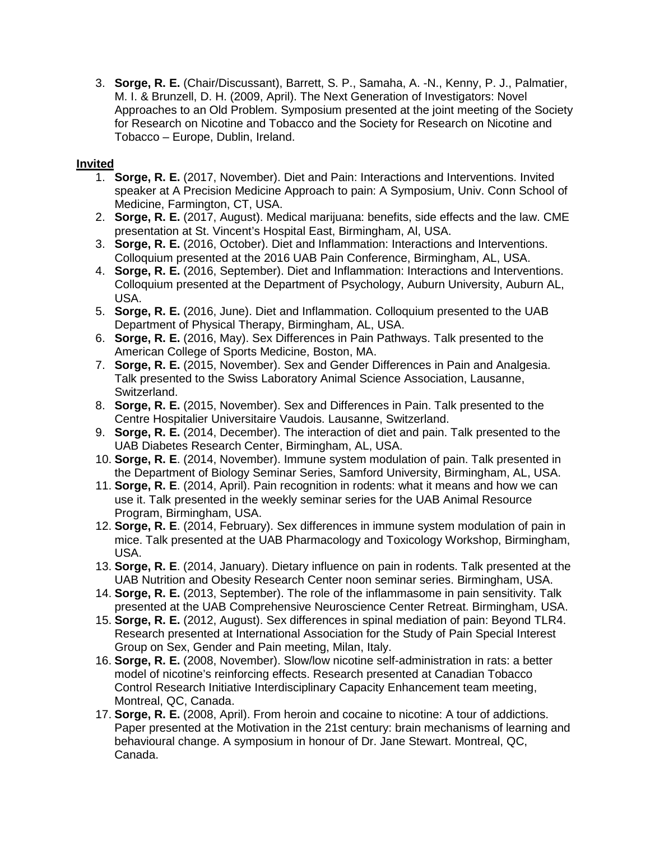3. **Sorge, R. E.** (Chair/Discussant), Barrett, S. P., Samaha, A. -N., Kenny, P. J., Palmatier, M. I. & Brunzell, D. H. (2009, April). The Next Generation of Investigators: Novel Approaches to an Old Problem. Symposium presented at the joint meeting of the Society for Research on Nicotine and Tobacco and the Society for Research on Nicotine and Tobacco – Europe, Dublin, Ireland.

#### **Invited**

- 1. **Sorge, R. E.** (2017, November). Diet and Pain: Interactions and Interventions. Invited speaker at A Precision Medicine Approach to pain: A Symposium, Univ. Conn School of Medicine, Farmington, CT, USA.
- 2. **Sorge, R. E.** (2017, August). Medical marijuana: benefits, side effects and the law. CME presentation at St. Vincent's Hospital East, Birmingham, Al, USA.
- 3. **Sorge, R. E.** (2016, October). Diet and Inflammation: Interactions and Interventions. Colloquium presented at the 2016 UAB Pain Conference, Birmingham, AL, USA.
- 4. **Sorge, R. E.** (2016, September). Diet and Inflammation: Interactions and Interventions. Colloquium presented at the Department of Psychology, Auburn University, Auburn AL, USA.
- 5. **Sorge, R. E.** (2016, June). Diet and Inflammation. Colloquium presented to the UAB Department of Physical Therapy, Birmingham, AL, USA.
- 6. **Sorge, R. E.** (2016, May). Sex Differences in Pain Pathways. Talk presented to the American College of Sports Medicine, Boston, MA.
- 7. **Sorge, R. E.** (2015, November). Sex and Gender Differences in Pain and Analgesia. Talk presented to the Swiss Laboratory Animal Science Association, Lausanne, Switzerland.
- 8. **Sorge, R. E.** (2015, November). Sex and Differences in Pain. Talk presented to the Centre Hospitalier Universitaire Vaudois. Lausanne, Switzerland.
- 9. **Sorge, R. E.** (2014, December). The interaction of diet and pain. Talk presented to the UAB Diabetes Research Center, Birmingham, AL, USA.
- 10. **Sorge, R. E**. (2014, November). Immune system modulation of pain. Talk presented in the Department of Biology Seminar Series, Samford University, Birmingham, AL, USA.
- 11. **Sorge, R. E**. (2014, April). Pain recognition in rodents: what it means and how we can use it. Talk presented in the weekly seminar series for the UAB Animal Resource Program, Birmingham, USA.
- 12. **Sorge, R. E**. (2014, February). Sex differences in immune system modulation of pain in mice. Talk presented at the UAB Pharmacology and Toxicology Workshop, Birmingham, USA.
- 13. **Sorge, R. E**. (2014, January). Dietary influence on pain in rodents. Talk presented at the UAB Nutrition and Obesity Research Center noon seminar series. Birmingham, USA.
- 14. **Sorge, R. E.** (2013, September). The role of the inflammasome in pain sensitivity. Talk presented at the UAB Comprehensive Neuroscience Center Retreat. Birmingham, USA.
- 15. **Sorge, R. E.** (2012, August). Sex differences in spinal mediation of pain: Beyond TLR4. Research presented at International Association for the Study of Pain Special Interest Group on Sex, Gender and Pain meeting, Milan, Italy.
- 16. **Sorge, R. E.** (2008, November). Slow/low nicotine self-administration in rats: a better model of nicotine's reinforcing effects. Research presented at Canadian Tobacco Control Research Initiative Interdisciplinary Capacity Enhancement team meeting, Montreal, QC, Canada.
- 17. **Sorge, R. E.** (2008, April). From heroin and cocaine to nicotine: A tour of addictions. Paper presented at the Motivation in the 21st century: brain mechanisms of learning and behavioural change. A symposium in honour of Dr. Jane Stewart. Montreal, QC, Canada.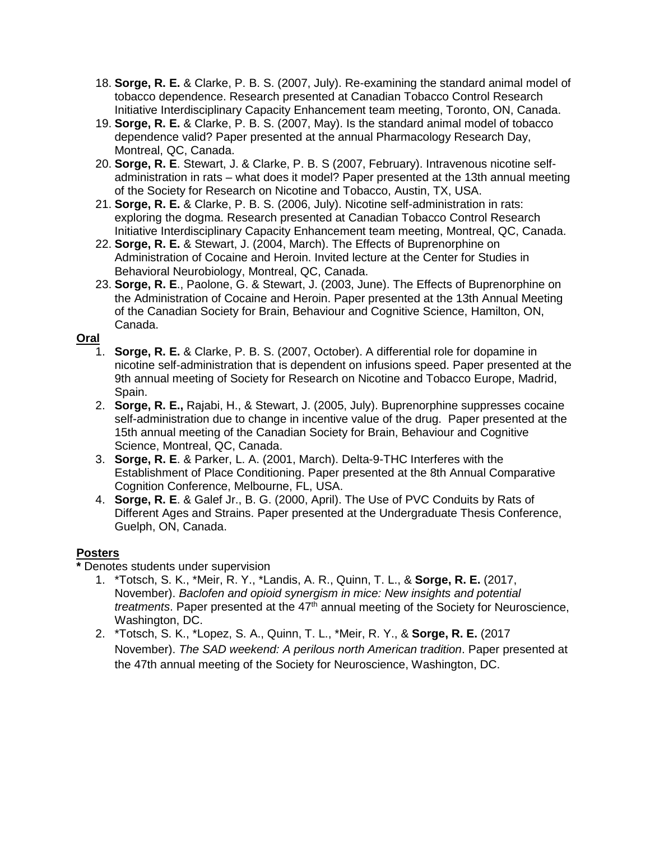- 18. **Sorge, R. E.** & Clarke, P. B. S. (2007, July). Re-examining the standard animal model of tobacco dependence. Research presented at Canadian Tobacco Control Research Initiative Interdisciplinary Capacity Enhancement team meeting, Toronto, ON, Canada.
- 19. **Sorge, R. E.** & Clarke, P. B. S. (2007, May). Is the standard animal model of tobacco dependence valid? Paper presented at the annual Pharmacology Research Day, Montreal, QC, Canada.
- 20. **Sorge, R. E**. Stewart, J. & Clarke, P. B. S (2007, February). Intravenous nicotine selfadministration in rats – what does it model? Paper presented at the 13th annual meeting of the Society for Research on Nicotine and Tobacco, Austin, TX, USA.
- 21. **Sorge, R. E.** & Clarke, P. B. S. (2006, July). Nicotine self-administration in rats: exploring the dogma. Research presented at Canadian Tobacco Control Research Initiative Interdisciplinary Capacity Enhancement team meeting, Montreal, QC, Canada.
- 22. **Sorge, R. E.** & Stewart, J. (2004, March). The Effects of Buprenorphine on Administration of Cocaine and Heroin. Invited lecture at the Center for Studies in Behavioral Neurobiology, Montreal, QC, Canada.
- 23. **Sorge, R. E**., Paolone, G. & Stewart, J. (2003, June). The Effects of Buprenorphine on the Administration of Cocaine and Heroin. Paper presented at the 13th Annual Meeting of the Canadian Society for Brain, Behaviour and Cognitive Science, Hamilton, ON, Canada.

#### **Oral**

- 1. **Sorge, R. E.** & Clarke, P. B. S. (2007, October). A differential role for dopamine in nicotine self-administration that is dependent on infusions speed. Paper presented at the 9th annual meeting of Society for Research on Nicotine and Tobacco Europe, Madrid, Spain.
- 2. **Sorge, R. E.,** Rajabi, H., & Stewart, J. (2005, July). Buprenorphine suppresses cocaine self-administration due to change in incentive value of the drug. Paper presented at the 15th annual meeting of the Canadian Society for Brain, Behaviour and Cognitive Science, Montreal, QC, Canada.
- 3. **Sorge, R. E**. & Parker, L. A. (2001, March). Delta-9-THC Interferes with the Establishment of Place Conditioning. Paper presented at the 8th Annual Comparative Cognition Conference, Melbourne, FL, USA.
- 4. **Sorge, R. E**. & Galef Jr., B. G. (2000, April). The Use of PVC Conduits by Rats of Different Ages and Strains. Paper presented at the Undergraduate Thesis Conference, Guelph, ON, Canada.

#### **Posters**

- **\*** Denotes students under supervision
	- 1. \*Totsch, S. K., \*Meir, R. Y., \*Landis, A. R., Quinn, T. L., & **Sorge, R. E.** (2017, November). *Baclofen and opioid synergism in mice: New insights and potential treatments*. Paper presented at the 47<sup>th</sup> annual meeting of the Society for Neuroscience, Washington, DC.
	- 2. \*Totsch, S. K., \*Lopez, S. A., Quinn, T. L., \*Meir, R. Y., & **Sorge, R. E.** (2017 November). *The SAD weekend: A perilous north American tradition*. Paper presented at the 47th annual meeting of the Society for Neuroscience, Washington, DC.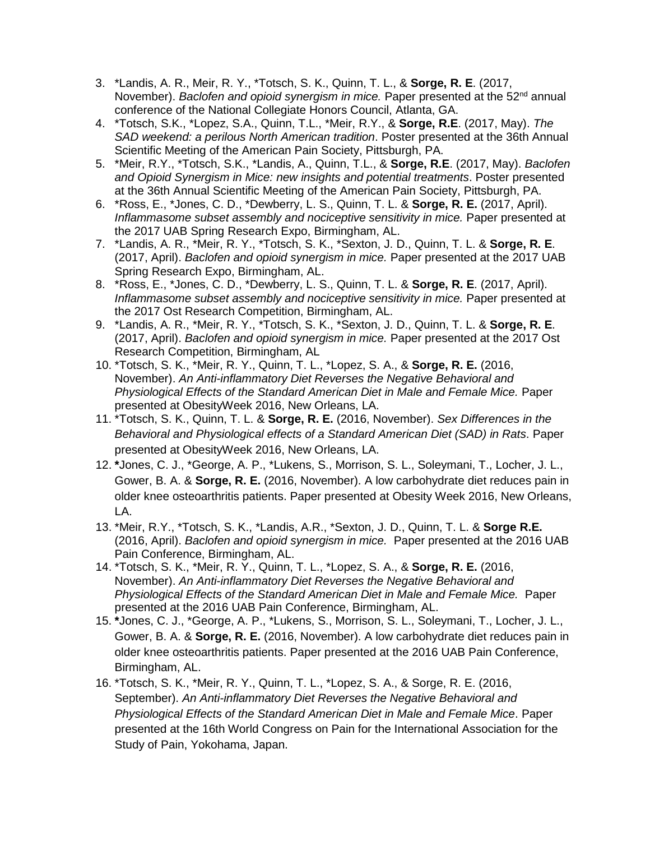- 3. \*Landis, A. R., Meir, R. Y., \*Totsch, S. K., Quinn, T. L., & **Sorge, R. E**. (2017, November). *Baclofen and opioid synergism in mice*. Paper presented at the 52<sup>nd</sup> annual conference of the National Collegiate Honors Council, Atlanta, GA.
- 4. \*Totsch, S.K., \*Lopez, S.A., Quinn, T.L., \*Meir, R.Y., & **Sorge, R.E**. (2017, May). *The SAD weekend: a perilous North American tradition*. Poster presented at the 36th Annual Scientific Meeting of the American Pain Society, Pittsburgh, PA.
- 5. \*Meir, R.Y., \*Totsch, S.K., \*Landis, A., Quinn, T.L., & **Sorge, R.E**. (2017, May). *Baclofen and Opioid Synergism in Mice: new insights and potential treatments*. Poster presented at the 36th Annual Scientific Meeting of the American Pain Society, Pittsburgh, PA.
- 6. \*Ross, E., \*Jones, C. D., \*Dewberry, L. S., Quinn, T. L. & **Sorge, R. E.** (2017, April). *Inflammasome subset assembly and nociceptive sensitivity in mice.* Paper presented at the 2017 UAB Spring Research Expo, Birmingham, AL.
- 7. \*Landis, A. R., \*Meir, R. Y., \*Totsch, S. K., \*Sexton, J. D., Quinn, T. L. & **Sorge, R. E**. (2017, April). *Baclofen and opioid synergism in mice.* Paper presented at the 2017 UAB Spring Research Expo, Birmingham, AL.
- 8. \*Ross, E., \*Jones, C. D., \*Dewberry, L. S., Quinn, T. L. & **Sorge, R. E**. (2017, April). *Inflammasome subset assembly and nociceptive sensitivity in mice.* Paper presented at the 2017 Ost Research Competition, Birmingham, AL.
- 9. \*Landis, A. R., \*Meir, R. Y., \*Totsch, S. K., \*Sexton, J. D., Quinn, T. L. & **Sorge, R. E**. (2017, April). *Baclofen and opioid synergism in mice.* Paper presented at the 2017 Ost Research Competition, Birmingham, AL
- 10. \*Totsch, S. K., \*Meir, R. Y., Quinn, T. L., \*Lopez, S. A., & **Sorge, R. E.** (2016, November). *An Anti-inflammatory Diet Reverses the Negative Behavioral and Physiological Effects of the Standard American Diet in Male and Female Mice.* Paper presented at ObesityWeek 2016, New Orleans, LA.
- 11. \*Totsch, S. K., Quinn, T. L. & **Sorge, R. E.** (2016, November). *Sex Differences in the Behavioral and Physiological effects of a Standard American Diet (SAD) in Rats*. Paper presented at ObesityWeek 2016, New Orleans, LA.
- 12. **\***Jones, C. J., \*George, A. P., \*Lukens, S., Morrison, S. L., Soleymani, T., Locher, J. L., Gower, B. A. & **Sorge, R. E.** (2016, November). A low carbohydrate diet reduces pain in older knee osteoarthritis patients. Paper presented at Obesity Week 2016, New Orleans, LA.
- 13. \*Meir, R.Y., \*Totsch, S. K., \*Landis, A.R., \*Sexton, J. D., Quinn, T. L. & **Sorge R.E.**  (2016, April). *Baclofen and opioid synergism in mice.* Paper presented at the 2016 UAB Pain Conference, Birmingham, AL.
- 14. \*Totsch, S. K., \*Meir, R. Y., Quinn, T. L., \*Lopez, S. A., & **Sorge, R. E.** (2016, November). *An Anti-inflammatory Diet Reverses the Negative Behavioral and Physiological Effects of the Standard American Diet in Male and Female Mice.* Paper presented at the 2016 UAB Pain Conference, Birmingham, AL.
- 15. **\***Jones, C. J., \*George, A. P., \*Lukens, S., Morrison, S. L., Soleymani, T., Locher, J. L., Gower, B. A. & **Sorge, R. E.** (2016, November). A low carbohydrate diet reduces pain in older knee osteoarthritis patients. Paper presented at the 2016 UAB Pain Conference, Birmingham, AL.
- 16. \*Totsch, S. K., \*Meir, R. Y., Quinn, T. L., \*Lopez, S. A., & Sorge, R. E. (2016, September). *An Anti-inflammatory Diet Reverses the Negative Behavioral and Physiological Effects of the Standard American Diet in Male and Female Mice*. Paper presented at the 16th World Congress on Pain for the International Association for the Study of Pain, Yokohama, Japan.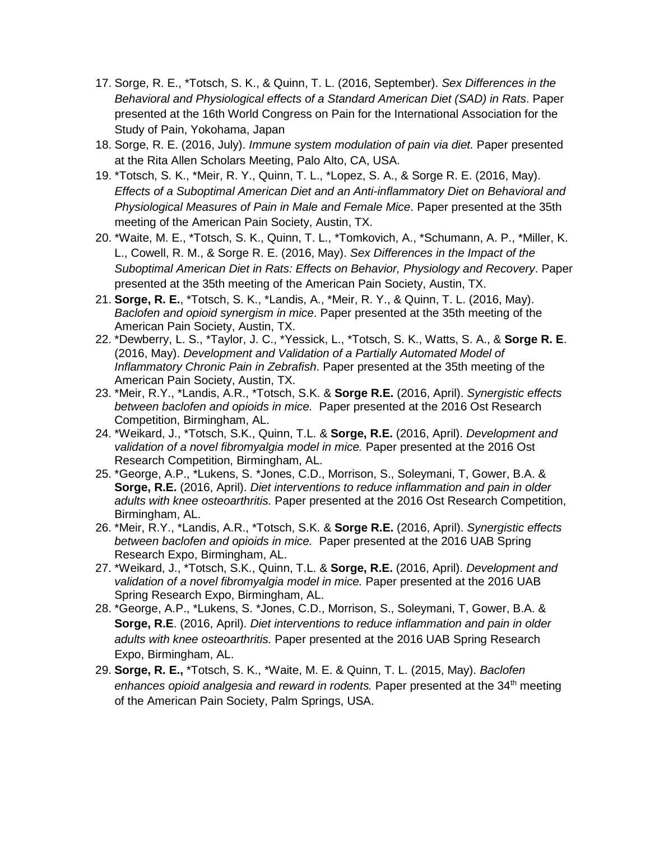- 17. Sorge, R. E., \*Totsch, S. K., & Quinn, T. L. (2016, September). *Sex Differences in the Behavioral and Physiological effects of a Standard American Diet (SAD) in Rats*. Paper presented at the 16th World Congress on Pain for the International Association for the Study of Pain, Yokohama, Japan
- 18. Sorge, R. E. (2016, July). *Immune system modulation of pain via diet.* Paper presented at the Rita Allen Scholars Meeting, Palo Alto, CA, USA.
- 19. \*Totsch, S. K., \*Meir, R. Y., Quinn, T. L., \*Lopez, S. A., & Sorge R. E. (2016, May). *Effects of a Suboptimal American Diet and an Anti-inflammatory Diet on Behavioral and Physiological Measures of Pain in Male and Female Mice*. Paper presented at the 35th meeting of the American Pain Society, Austin, TX.
- 20. \*Waite, M. E., \*Totsch, S. K., Quinn, T. L., \*Tomkovich, A., \*Schumann, A. P., \*Miller, K. L., Cowell, R. M., & Sorge R. E. (2016, May). *Sex Differences in the Impact of the Suboptimal American Diet in Rats: Effects on Behavior, Physiology and Recovery*. Paper presented at the 35th meeting of the American Pain Society, Austin, TX.
- 21. **Sorge, R. E.**, \*Totsch, S. K., \*Landis, A., \*Meir, R. Y., & Quinn, T. L. (2016, May). *Baclofen and opioid synergism in mice*. Paper presented at the 35th meeting of the American Pain Society, Austin, TX.
- 22. \*Dewberry, L. S., \*Taylor, J. C., \*Yessick, L., \*Totsch, S. K., Watts, S. A., & **Sorge R. E**. (2016, May). *Development and Validation of a Partially Automated Model of Inflammatory Chronic Pain in Zebrafish*. Paper presented at the 35th meeting of the American Pain Society, Austin, TX.
- 23. \*Meir, R.Y., \*Landis, A.R., \*Totsch, S.K. & **Sorge R.E.** (2016, April). *Synergistic effects between baclofen and opioids in mice.* Paper presented at the 2016 Ost Research Competition, Birmingham, AL.
- 24. \*Weikard, J., \*Totsch, S.K., Quinn, T.L. & **Sorge, R.E.** (2016, April). *Development and validation of a novel fibromyalgia model in mice.* Paper presented at the 2016 Ost Research Competition, Birmingham, AL.
- 25. \*George, A.P., \*Lukens, S. \*Jones, C.D., Morrison, S., Soleymani, T, Gower, B.A. & **Sorge, R.E.** (2016, April). *Diet interventions to reduce inflammation and pain in older adults with knee osteoarthritis.* Paper presented at the 2016 Ost Research Competition, Birmingham, AL.
- 26. \*Meir, R.Y., \*Landis, A.R., \*Totsch, S.K. & **Sorge R.E.** (2016, April). *Synergistic effects between baclofen and opioids in mice.* Paper presented at the 2016 UAB Spring Research Expo, Birmingham, AL.
- 27. \*Weikard, J., \*Totsch, S.K., Quinn, T.L. & **Sorge, R.E.** (2016, April). *Development and validation of a novel fibromyalgia model in mice.* Paper presented at the 2016 UAB Spring Research Expo, Birmingham, AL.
- 28. \*George, A.P., \*Lukens, S. \*Jones, C.D., Morrison, S., Soleymani, T, Gower, B.A. & **Sorge, R.E**. (2016, April). *Diet interventions to reduce inflammation and pain in older adults with knee osteoarthritis.* Paper presented at the 2016 UAB Spring Research Expo, Birmingham, AL.
- 29. **Sorge, R. E.,** \*Totsch, S. K., \*Waite, M. E. & Quinn, T. L. (2015, May). *Baclofen*  enhances opioid analgesia and reward in rodents. Paper presented at the 34<sup>th</sup> meeting of the American Pain Society, Palm Springs, USA.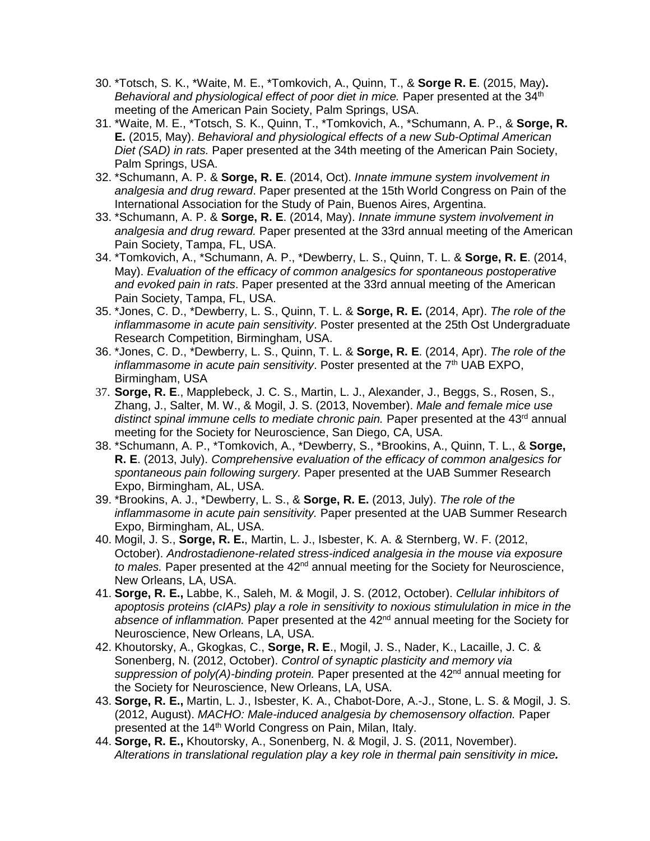- 30. \*Totsch, S. K., \*Waite, M. E., \*Tomkovich, A., Quinn, T., & **Sorge R. E**. (2015, May)**.**  *Behavioral and physiological effect of poor diet in mice.* Paper presented at the 34<sup>th</sup> meeting of the American Pain Society, Palm Springs, USA.
- 31. \*Waite, M. E., \*Totsch, S. K., Quinn, T., \*Tomkovich, A., \*Schumann, A. P., & **Sorge, R. E.** (2015, May). *Behavioral and physiological effects of a new Sub-Optimal American Diet (SAD) in rats.* Paper presented at the 34th meeting of the American Pain Society, Palm Springs, USA.
- 32. \*Schumann, A. P. & **Sorge, R. E**. (2014, Oct). *Innate immune system involvement in analgesia and drug reward*. Paper presented at the 15th World Congress on Pain of the International Association for the Study of Pain, Buenos Aires, Argentina.
- 33. \*Schumann, A. P. & **Sorge, R. E**. (2014, May). *Innate immune system involvement in analgesia and drug reward.* Paper presented at the 33rd annual meeting of the American Pain Society, Tampa, FL, USA.
- 34. \*Tomkovich, A., \*Schumann, A. P., \*Dewberry, L. S., Quinn, T. L. & **Sorge, R. E**. (2014, May). *Evaluation of the efficacy of common analgesics for spontaneous postoperative and evoked pain in rats*. Paper presented at the 33rd annual meeting of the American Pain Society, Tampa, FL, USA.
- 35. \*Jones, C. D., \*Dewberry, L. S., Quinn, T. L. & **Sorge, R. E.** (2014, Apr). *The role of the inflammasome in acute pain sensitivity*. Poster presented at the 25th Ost Undergraduate Research Competition, Birmingham, USA.
- 36. \*Jones, C. D., \*Dewberry, L. S., Quinn, T. L. & **Sorge, R. E**. (2014, Apr). *The role of the inflammasome in acute pain sensitivity*. Poster presented at the 7<sup>th</sup> UAB EXPO, Birmingham, USA
- 37. **Sorge, R. E**., Mapplebeck, J. C. S., Martin, L. J., Alexander, J., Beggs, S., Rosen, S., Zhang, J., Salter, M. W., & Mogil, J. S. (2013, November). *Male and female mice use distinct spinal immune cells to mediate chronic pain.* Paper presented at the 43<sup>rd</sup> annual meeting for the Society for Neuroscience, San Diego, CA, USA.
- 38. \*Schumann, A. P., \*Tomkovich, A., \*Dewberry, S., \*Brookins, A., Quinn, T. L., & **Sorge, R. E**. (2013, July). *Comprehensive evaluation of the efficacy of common analgesics for spontaneous pain following surgery.* Paper presented at the UAB Summer Research Expo, Birmingham, AL, USA.
- 39. \*Brookins, A. J., \*Dewberry, L. S., & **Sorge, R. E.** (2013, July). *The role of the inflammasome in acute pain sensitivity.* Paper presented at the UAB Summer Research Expo, Birmingham, AL, USA.
- 40. Mogil, J. S., **Sorge, R. E.**, Martin, L. J., Isbester, K. A. & Sternberg, W. F. (2012, October). *Androstadienone-related stress-indiced analgesia in the mouse via exposure*  to males. Paper presented at the 42<sup>nd</sup> annual meeting for the Society for Neuroscience, New Orleans, LA, USA.
- 41. **Sorge, R. E.,** Labbe, K., Saleh, M. & Mogil, J. S. (2012, October). *Cellular inhibitors of apoptosis proteins (cIAPs) play a role in sensitivity to noxious stimululation in mice in the*  absence of inflammation. Paper presented at the 42<sup>nd</sup> annual meeting for the Society for Neuroscience, New Orleans, LA, USA.
- 42. Khoutorsky, A., Gkogkas, C., **Sorge, R. E**., Mogil, J. S., Nader, K., Lacaille, J. C. & Sonenberg, N. (2012, October). *Control of synaptic plasticity and memory via suppression of poly(A)-binding protein.* Paper presented at the 42<sup>nd</sup> annual meeting for the Society for Neuroscience, New Orleans, LA, USA.
- 43. **Sorge, R. E.,** Martin, L. J., Isbester, K. A., Chabot-Dore, A.-J., Stone, L. S. & Mogil, J. S. (2012, August). *MACHO: Male-induced analgesia by chemosensory olfaction.* Paper presented at the 14<sup>th</sup> World Congress on Pain, Milan, Italy.
- 44. **Sorge, R. E.,** Khoutorsky, A., Sonenberg, N. & Mogil, J. S. (2011, November). *Alterations in translational regulation play a key role in thermal pain sensitivity in mice.*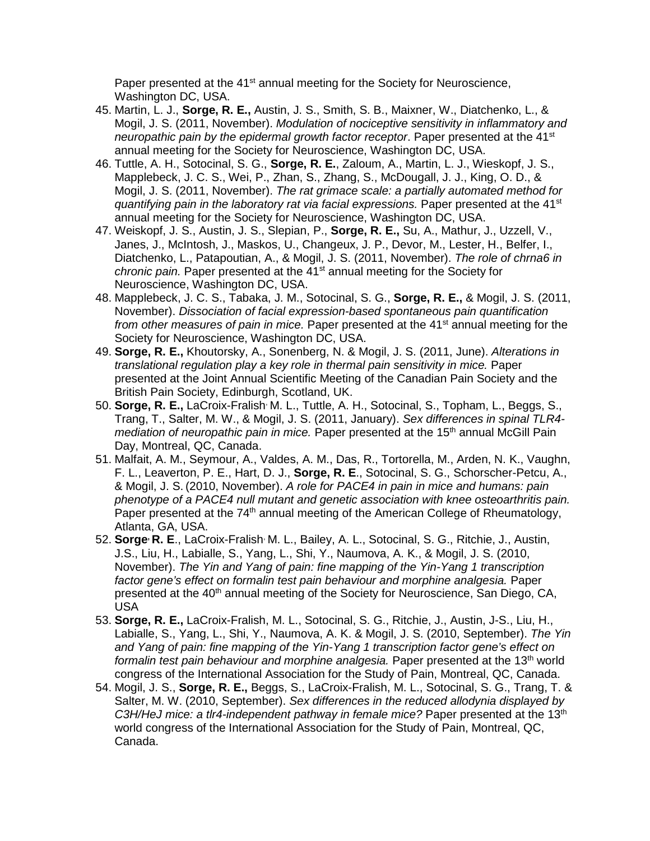Paper presented at the 41<sup>st</sup> annual meeting for the Society for Neuroscience, Washington DC, USA.

- 45. Martin, L. J., **Sorge, R. E.,** Austin, J. S., Smith, S. B., Maixner, W., Diatchenko, L., & Mogil, J. S. (2011, November). *Modulation of nociceptive sensitivity in inflammatory and neuropathic pain by the epidermal growth factor receptor.* Paper presented at the 41<sup>st</sup> annual meeting for the Society for Neuroscience, Washington DC, USA.
- 46. Tuttle, A. H., Sotocinal, S. G., **Sorge, R. E.**, Zaloum, A., Martin, L. J., Wieskopf, J. S., Mapplebeck, J. C. S., Wei, P., Zhan, S., Zhang, S., McDougall, J. J., King, O. D., & Mogil, J. S. (2011, November). *The rat grimace scale: a partially automated method for quantifying pain in the laboratory rat via facial expressions.* Paper presented at the 41<sup>st</sup> annual meeting for the Society for Neuroscience, Washington DC, USA.
- 47. Weiskopf, J. S., Austin, J. S., Slepian, P., **Sorge, R. E.,** Su, A., Mathur, J., Uzzell, V., Janes, J., McIntosh, J., Maskos, U., Changeux, J. P., Devor, M., Lester, H., Belfer, I., Diatchenko, L., Patapoutian, A., & Mogil, J. S. (2011, November). *The role of chrna6 in chronic pain.* Paper presented at the 41st annual meeting for the Society for Neuroscience, Washington DC, USA.
- 48. Mapplebeck, J. C. S., Tabaka, J. M., Sotocinal, S. G., **Sorge, R. E.,** & Mogil, J. S. (2011, November). *Dissociation of facial expression-based spontaneous pain quantification from other measures of pain in mice.* Paper presented at the 41<sup>st</sup> annual meeting for the Society for Neuroscience, Washington DC, USA.
- 49. **Sorge, R. E.,** Khoutorsky, A., Sonenberg, N. & Mogil, J. S. (2011, June). *Alterations in translational regulation play a key role in thermal pain sensitivity in mice.* Paper presented at the Joint Annual Scientific Meeting of the Canadian Pain Society and the British Pain Society, Edinburgh, Scotland, UK.
- 50. **Sorge, R. E.,** LaCroix-Fralish, M. L., Tuttle, A. H., Sotocinal, S., Topham, L., Beggs, S., Trang, T., Salter, M. W., & Mogil, J. S. (2011, January). *Sex differences in spinal TLR4 mediation of neuropathic pain in mice.* Paper presented at the 15<sup>th</sup> annual McGill Pain Day, Montreal, QC, Canada.
- 51. Malfait, A. M., Seymour, A., Valdes, A. M., Das, R., Tortorella, M., Arden, N. K., Vaughn, F. L., Leaverton, P. E., Hart, D. J., **Sorge, R. E**., Sotocinal, S. G., Schorscher-Petcu, A., & Mogil, J. S. (2010, November). *A role for PACE4 in pain in mice and humans: pain phenotype of a PACE4 null mutant and genetic association with knee osteoarthritis pain.* Paper presented at the 74<sup>th</sup> annual meeting of the American College of Rheumatology, Atlanta, GA, USA.
- 52. **Sorge, R. E**., LaCroix-Fralish, M. L., Bailey, A. L., Sotocinal, S. G., Ritchie, J., Austin, J.S., Liu, H., Labialle, S., Yang, L., Shi, Y., Naumova, A. K., & Mogil, J. S. (2010, November). *The Yin and Yang of pain: fine mapping of the Yin-Yang 1 transcription factor gene's effect on formalin test pain behaviour and morphine analgesia.* Paper presented at the 40<sup>th</sup> annual meeting of the Society for Neuroscience, San Diego, CA, USA
- 53. **Sorge, R. E.,** LaCroix-Fralish, M. L., Sotocinal, S. G., Ritchie, J., Austin, J-S., Liu, H., Labialle, S., Yang, L., Shi, Y., Naumova, A. K. & Mogil, J. S. (2010, September). *The Yin and Yang of pain: fine mapping of the Yin-Yang 1 transcription factor gene's effect on formalin test pain behaviour and morphine analgesia.* Paper presented at the 13<sup>th</sup> world congress of the International Association for the Study of Pain, Montreal, QC, Canada.
- 54. Mogil, J. S., **Sorge, R. E.,** Beggs, S., LaCroix-Fralish, M. L., Sotocinal, S. G., Trang, T. & Salter, M. W. (2010, September). *Sex differences in the reduced allodynia displayed by*  C3H/HeJ mice: a tlr4-independent pathway in female mice? Paper presented at the 13<sup>th</sup> world congress of the International Association for the Study of Pain, Montreal, QC, Canada.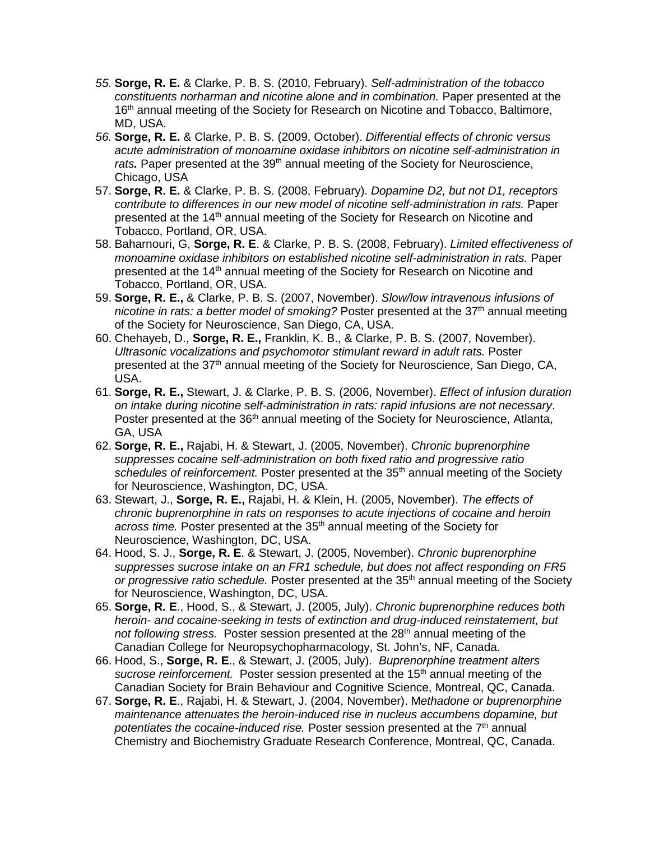- *55.* **Sorge, R. E.** & Clarke, P. B. S. (2010, February). *Self-administration of the tobacco constituents norharman and nicotine alone and in combination.* Paper presented at the 16<sup>th</sup> annual meeting of the Society for Research on Nicotine and Tobacco, Baltimore, MD, USA.
- *56.* **Sorge, R. E.** & Clarke, P. B. S. (2009, October). *Differential effects of chronic versus acute administration of monoamine oxidase inhibitors on nicotine self-administration in*  rats. Paper presented at the 39<sup>th</sup> annual meeting of the Society for Neuroscience, Chicago, USA
- 57. **Sorge, R. E.** & Clarke, P. B. S. (2008, February). *Dopamine D2, but not D1, receptors contribute to differences in our new model of nicotine self-administration in rats.* Paper presented at the 14<sup>th</sup> annual meeting of the Society for Research on Nicotine and Tobacco, Portland, OR, USA.
- 58. Baharnouri, G, **Sorge, R. E**. & Clarke, P. B. S. (2008, February). *Limited effectiveness of monoamine oxidase inhibitors on established nicotine self-administration in rats.* Paper presented at the 14<sup>th</sup> annual meeting of the Society for Research on Nicotine and Tobacco, Portland, OR, USA.
- 59. **Sorge, R. E.,** & Clarke, P. B. S. (2007, November). *Slow/low intravenous infusions of nicotine in rats: a better model of smoking?* Poster presented at the 37<sup>th</sup> annual meeting of the Society for Neuroscience, San Diego, CA, USA.
- 60. Chehayeb, D., **Sorge, R. E.,** Franklin, K. B., & Clarke, P. B. S. (2007, November). *Ultrasonic vocalizations and psychomotor stimulant reward in adult rats.* Poster presented at the 37<sup>th</sup> annual meeting of the Society for Neuroscience, San Diego, CA, USA.
- 61. **Sorge, R. E.,** Stewart, J. & Clarke, P. B. S. (2006, November). *Effect of infusion duration on intake during nicotine self-administration in rats: rapid infusions are not necessary*. Poster presented at the 36<sup>th</sup> annual meeting of the Society for Neuroscience, Atlanta, GA, USA
- 62. **Sorge, R. E.,** Rajabi, H. & Stewart, J. (2005, November). *Chronic buprenorphine suppresses cocaine self-administration on both fixed ratio and progressive ratio*  schedules of reinforcement. Poster presented at the 35<sup>th</sup> annual meeting of the Society for Neuroscience, Washington, DC, USA.
- 63. Stewart, J., **Sorge, R. E.,** Rajabi, H. & Klein, H. (2005, November). *The effects of chronic buprenorphine in rats on responses to acute injections of cocaine and heroin across time.* Poster presented at the 35th annual meeting of the Society for Neuroscience, Washington, DC, USA.
- 64. Hood, S. J., **Sorge, R. E**. & Stewart, J. (2005, November). *Chronic buprenorphine suppresses sucrose intake on an FR1 schedule, but does not affect responding on FR5 or progressive ratio schedule.* Poster presented at the 35th annual meeting of the Society for Neuroscience, Washington, DC, USA.
- 65. **Sorge, R. E**., Hood, S., & Stewart, J. (2005, July). *Chronic buprenorphine reduces both heroin- and cocaine-seeking in tests of extinction and drug-induced reinstatement, but not following stress.* Poster session presented at the 28<sup>th</sup> annual meeting of the Canadian College for Neuropsychopharmacology, St. John's, NF, Canada.
- 66. Hood, S., **Sorge, R. E**., & Stewart, J. (2005, July). *Buprenorphine treatment alters sucrose reinforcement.* Poster session presented at the 15<sup>th</sup> annual meeting of the Canadian Society for Brain Behaviour and Cognitive Science, Montreal, QC, Canada.
- 67. **Sorge, R. E**., Rajabi, H. & Stewart, J. (2004, November). M*ethadone or buprenorphine maintenance attenuates the heroin-induced rise in nucleus accumbens dopamine, but potentiates the cocaine-induced rise.* Poster session presented at the 7<sup>th</sup> annual Chemistry and Biochemistry Graduate Research Conference, Montreal, QC, Canada.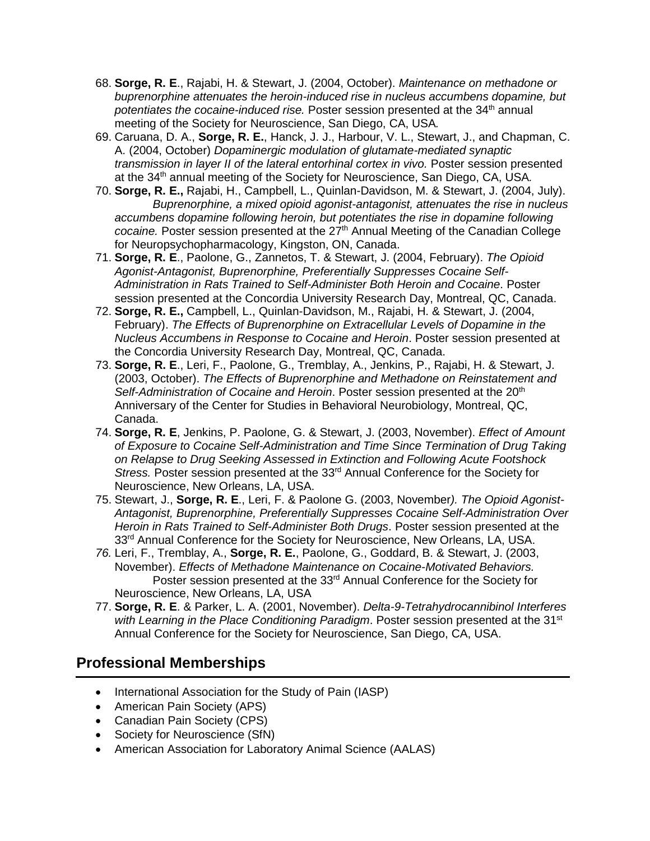- 68. **Sorge, R. E**., Rajabi, H. & Stewart, J. (2004, October). *Maintenance on methadone or buprenorphine attenuates the heroin-induced rise in nucleus accumbens dopamine, but*  potentiates the cocaine-induced rise. Poster session presented at the 34<sup>th</sup> annual meeting of the Society for Neuroscience, San Diego, CA, USA*.*
- 69. Caruana, D. A., **Sorge, R. E.**, Hanck, J. J., Harbour, V. L., Stewart, J., and Chapman, C. A. (2004, October) *Dopaminergic modulation of glutamate-mediated synaptic transmission in layer II of the lateral entorhinal cortex in vivo.* Poster session presented at the 34th annual meeting of the Society for Neuroscience, San Diego, CA, USA*.*
- 70. **Sorge, R. E.,** Rajabi, H., Campbell, L., Quinlan-Davidson, M. & Stewart, J. (2004, July). *Buprenorphine, a mixed opioid agonist-antagonist, attenuates the rise in nucleus accumbens dopamine following heroin, but potentiates the rise in dopamine following cocaine.* Poster session presented at the 27th Annual Meeting of the Canadian College for Neuropsychopharmacology, Kingston, ON, Canada.
- 71. **Sorge, R. E**., Paolone, G., Zannetos, T. & Stewart, J. (2004, February). *The Opioid Agonist-Antagonist, Buprenorphine, Preferentially Suppresses Cocaine Self-Administration in Rats Trained to Self-Administer Both Heroin and Cocaine*. Poster session presented at the Concordia University Research Day, Montreal, QC, Canada.
- 72. **Sorge, R. E.,** Campbell, L., Quinlan-Davidson, M., Rajabi, H. & Stewart, J. (2004, February). *The Effects of Buprenorphine on Extracellular Levels of Dopamine in the Nucleus Accumbens in Response to Cocaine and Heroin*. Poster session presented at the Concordia University Research Day, Montreal, QC, Canada.
- 73. **Sorge, R. E**., Leri, F., Paolone, G., Tremblay, A., Jenkins, P., Rajabi, H. & Stewart, J. (2003, October). *The Effects of Buprenorphine and Methadone on Reinstatement and*  Self-Administration of Cocaine and Heroin. Poster session presented at the 20<sup>th</sup> Anniversary of the Center for Studies in Behavioral Neurobiology, Montreal, QC, Canada.
- 74. **Sorge, R. E**, Jenkins, P. Paolone, G. & Stewart, J. (2003, November). *Effect of Amount of Exposure to Cocaine Self-Administration and Time Since Termination of Drug Taking on Relapse to Drug Seeking Assessed in Extinction and Following Acute Footshock Stress.* Poster session presented at the 33rd Annual Conference for the Society for Neuroscience, New Orleans, LA, USA.
- 75. Stewart, J., **Sorge, R. E**., Leri, F. & Paolone G. (2003, November*). The Opioid Agonist-Antagonist, Buprenorphine, Preferentially Suppresses Cocaine Self-Administration Over Heroin in Rats Trained to Self-Administer Both Drugs*. Poster session presented at the 33<sup>rd</sup> Annual Conference for the Society for Neuroscience, New Orleans, LA, USA.
- *76.* Leri, F., Tremblay, A., **Sorge, R. E.**, Paolone, G., Goddard, B. & Stewart, J. (2003, November). *Effects of Methadone Maintenance on Cocaine-Motivated Behaviors.*  Poster session presented at the 33<sup>rd</sup> Annual Conference for the Society for Neuroscience, New Orleans, LA, USA
- 77. **Sorge, R. E**. & Parker, L. A. (2001, November). *Delta-9-Tetrahydrocannibinol Interferes with Learning in the Place Conditioning Paradigm.* Poster session presented at the 31<sup>st</sup> Annual Conference for the Society for Neuroscience, San Diego, CA, USA.

### **Professional Memberships**

- International Association for the Study of Pain (IASP)
- American Pain Society (APS)
- Canadian Pain Society (CPS)
- Society for Neuroscience (SfN)
- American Association for Laboratory Animal Science (AALAS)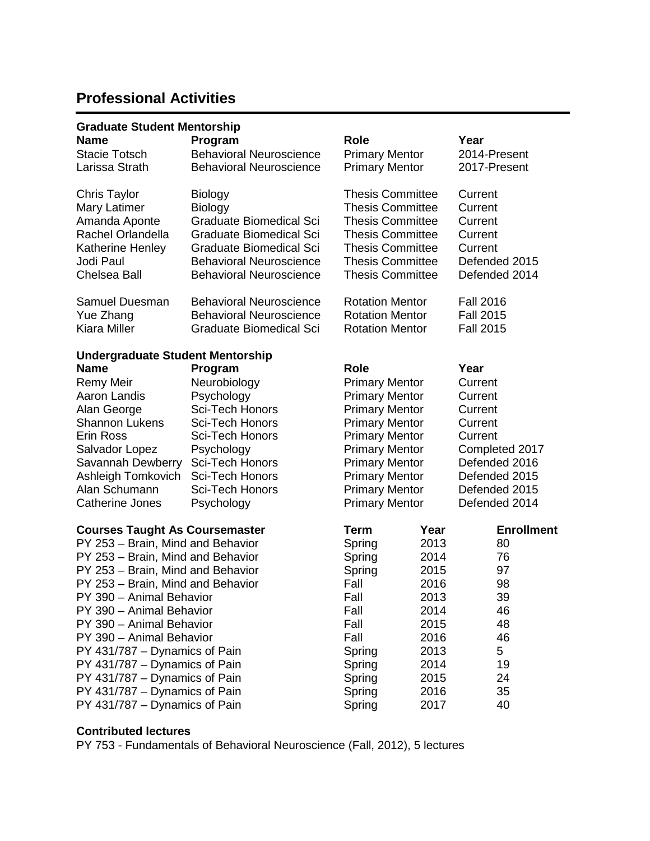# **Professional Activities**

| <b>Graduate Student Mentorship</b>      |                                                  |                                                    |              |                    |
|-----------------------------------------|--------------------------------------------------|----------------------------------------------------|--------------|--------------------|
| <b>Name</b>                             | Program                                          | <b>Role</b>                                        |              | Year               |
| <b>Stacie Totsch</b>                    | <b>Behavioral Neuroscience</b>                   | <b>Primary Mentor</b>                              |              | 2014-Present       |
| Larissa Strath                          | <b>Behavioral Neuroscience</b>                   | <b>Primary Mentor</b>                              |              | 2017-Present       |
| <b>Chris Taylor</b>                     | <b>Biology</b>                                   | <b>Thesis Committee</b>                            |              | Current            |
| Mary Latimer                            | <b>Biology</b>                                   | <b>Thesis Committee</b>                            |              | Current            |
| Amanda Aponte                           | <b>Graduate Biomedical Sci</b>                   | <b>Thesis Committee</b>                            |              | Current            |
| Rachel Orlandella                       | <b>Graduate Biomedical Sci</b>                   | <b>Thesis Committee</b>                            |              | Current            |
| Katherine Henley                        | <b>Graduate Biomedical Sci</b>                   | <b>Thesis Committee</b>                            |              | Current            |
| Jodi Paul                               | <b>Behavioral Neuroscience</b>                   | <b>Thesis Committee</b><br><b>Thesis Committee</b> |              | Defended 2015      |
| <b>Chelsea Ball</b>                     | <b>Behavioral Neuroscience</b>                   |                                                    |              | Defended 2014      |
| Samuel Duesman                          | <b>Behavioral Neuroscience</b>                   | <b>Rotation Mentor</b>                             |              | <b>Fall 2016</b>   |
| Yue Zhang                               | <b>Behavioral Neuroscience</b>                   | <b>Rotation Mentor</b>                             |              | <b>Fall 2015</b>   |
| Kiara Miller                            | <b>Graduate Biomedical Sci</b>                   | <b>Rotation Mentor</b>                             |              | <b>Fall 2015</b>   |
| <b>Undergraduate Student Mentorship</b> |                                                  |                                                    |              |                    |
| <b>Name</b>                             | Program                                          | <b>Role</b>                                        |              | Year               |
| <b>Remy Meir</b>                        | Neurobiology                                     | <b>Primary Mentor</b>                              |              | Current            |
| Aaron Landis                            | Psychology                                       | <b>Primary Mentor</b>                              |              | Current            |
| Alan George                             | <b>Sci-Tech Honors</b>                           | <b>Primary Mentor</b>                              |              | Current            |
| <b>Shannon Lukens</b><br>Erin Ross      | <b>Sci-Tech Honors</b><br><b>Sci-Tech Honors</b> | <b>Primary Mentor</b>                              |              | Current<br>Current |
| Salvador Lopez                          | Psychology                                       | <b>Primary Mentor</b><br><b>Primary Mentor</b>     |              | Completed 2017     |
| Savannah Dewberry                       | <b>Sci-Tech Honors</b>                           | <b>Primary Mentor</b>                              |              | Defended 2016      |
| Ashleigh Tomkovich                      | <b>Sci-Tech Honors</b>                           | <b>Primary Mentor</b>                              |              | Defended 2015      |
| Alan Schumann                           | <b>Sci-Tech Honors</b>                           | <b>Primary Mentor</b>                              |              | Defended 2015      |
| <b>Catherine Jones</b>                  | Psychology                                       | <b>Primary Mentor</b>                              |              | Defended 2014      |
| <b>Courses Taught As Coursemaster</b>   |                                                  | <b>Term</b>                                        | Year         | <b>Enrollment</b>  |
| PY 253 - Brain, Mind and Behavior       |                                                  | Spring                                             | 2013         | 80                 |
| PY 253 - Brain, Mind and Behavior       |                                                  | Spring                                             | 2014         | 76                 |
| PY 253 - Brain, Mind and Behavior       |                                                  | Spring                                             | 2015         | 97                 |
| PY 253 - Brain, Mind and Behavior       |                                                  | Fall                                               | 2016         | 98                 |
| PY 390 - Animal Behavior                |                                                  | Fall                                               | 2013         | 39                 |
| PY 390 - Animal Behavior                |                                                  | Fall                                               | 2014         | 46                 |
| PY 390 - Animal Behavior                |                                                  | Fall                                               | 2015         | 48                 |
| PY 390 - Animal Behavior                |                                                  | Fall                                               | 2016         | 46                 |
| PY 431/787 - Dynamics of Pain           |                                                  | Spring                                             | 2013         | 5                  |
| PY 431/787 - Dynamics of Pain           |                                                  | Spring                                             | 2014         | 19                 |
| PY 431/787 - Dynamics of Pain           |                                                  | Spring                                             | 2015         | 24                 |
| PY 431/787 - Dynamics of Pain           |                                                  | Spring                                             | 2016<br>2017 | 35<br>40           |
| PY 431/787 - Dynamics of Pain           |                                                  | Spring                                             |              |                    |

#### **Contributed lectures**

PY 753 - Fundamentals of Behavioral Neuroscience (Fall, 2012), 5 lectures